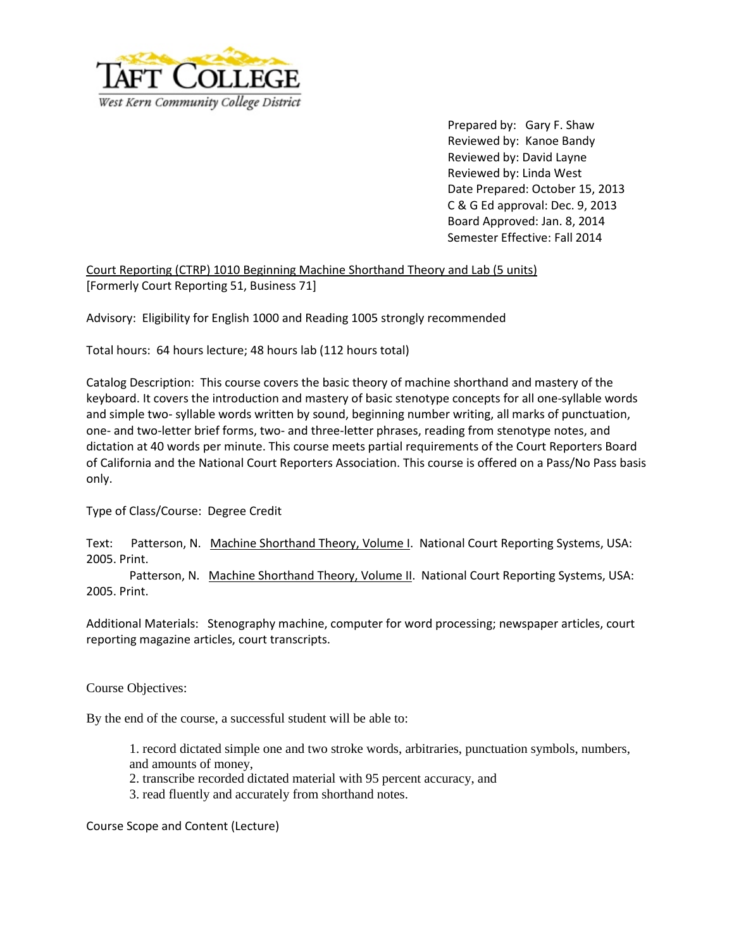

Prepared by: Gary F. Shaw Reviewed by: Kanoe Bandy Reviewed by: David Layne Reviewed by: Linda West Date Prepared: October 15, 2013 C & G Ed approval: Dec. 9, 2013 Board Approved: Jan. 8, 2014 Semester Effective: Fall 2014

Court Reporting (CTRP) 1010 Beginning Machine Shorthand Theory and Lab (5 units) [Formerly Court Reporting 51, Business 71]

Advisory: Eligibility for English 1000 and Reading 1005 strongly recommended

Total hours: 64 hours lecture; 48 hours lab (112 hours total)

Catalog Description: This course covers the basic theory of machine shorthand and mastery of the keyboard. It covers the introduction and mastery of basic stenotype concepts for all one-syllable words and simple two- syllable words written by sound, beginning number writing, all marks of punctuation, one- and two-letter brief forms, two- and three-letter phrases, reading from stenotype notes, and dictation at 40 words per minute. This course meets partial requirements of the Court Reporters Board of California and the National Court Reporters Association. This course is offered on a Pass/No Pass basis only.

Type of Class/Course:Degree Credit

Text: Patterson, N. Machine Shorthand Theory, Volume I. National Court Reporting Systems, USA: 2005. Print.

Patterson, N. Machine Shorthand Theory, Volume II. National Court Reporting Systems, USA: 2005. Print.

Additional Materials: Stenography machine, computer for word processing; newspaper articles, court reporting magazine articles, court transcripts.

Course Objectives:

By the end of the course, a successful student will be able to:

1. record dictated simple one and two stroke words, arbitraries, punctuation symbols, numbers, and amounts of money,

2. transcribe recorded dictated material with 95 percent accuracy, and

3. read fluently and accurately from shorthand notes.

Course Scope and Content (Lecture)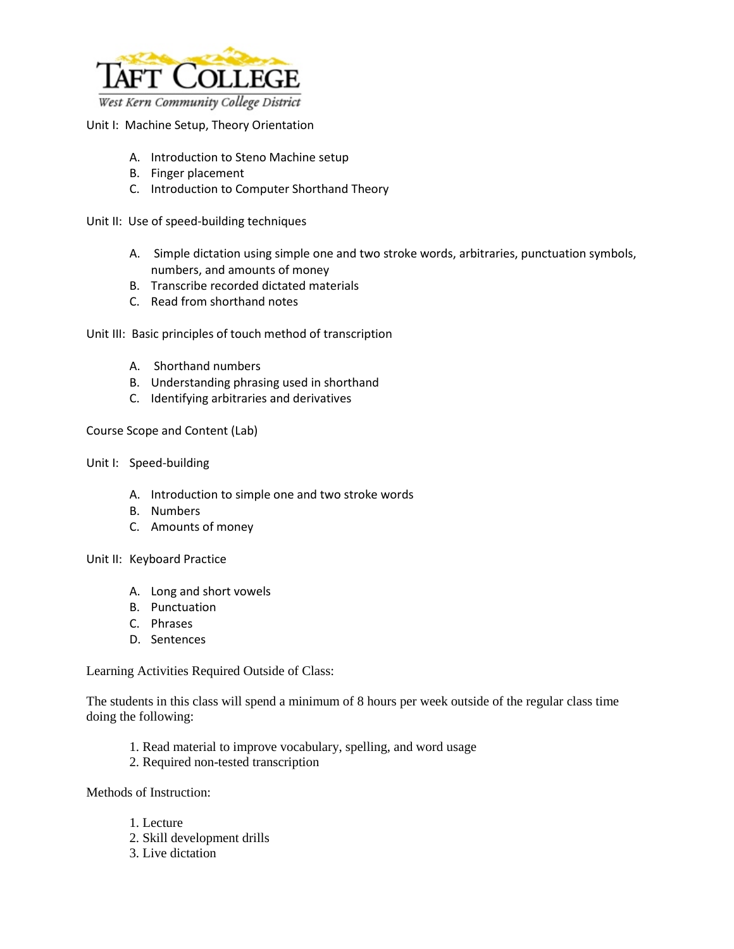

## Unit I: Machine Setup, Theory Orientation

- A. Introduction to Steno Machine setup
- B. Finger placement
- C. Introduction to Computer Shorthand Theory

Unit II: Use of speed-building techniques

- A. Simple dictation using simple one and two stroke words, arbitraries, punctuation symbols, numbers, and amounts of money
- B. Transcribe recorded dictated materials
- C. Read from shorthand notes

Unit III: Basic principles of touch method of transcription

- A. Shorthand numbers
- B. Understanding phrasing used in shorthand
- C. Identifying arbitraries and derivatives

Course Scope and Content (Lab)

- Unit I: Speed-building
	- A. Introduction to simple one and two stroke words
	- B. Numbers
	- C. Amounts of money

Unit II: Keyboard Practice

- A. Long and short vowels
- B. Punctuation
- C. Phrases
- D. Sentences

Learning Activities Required Outside of Class:

The students in this class will spend a minimum of 8 hours per week outside of the regular class time doing the following:

- 1. Read material to improve vocabulary, spelling, and word usage
- 2. Required non-tested transcription

Methods of Instruction:

- 1. Lecture
- 2. Skill development drills
- 3. Live dictation